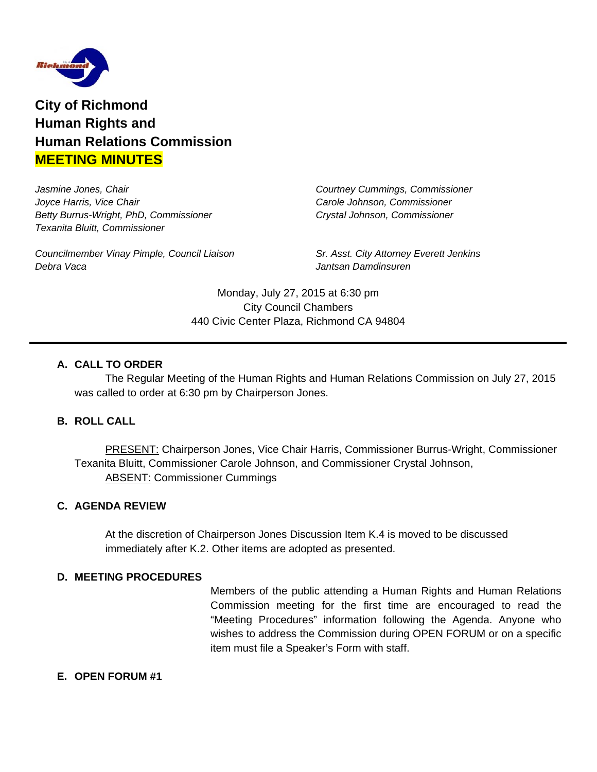

**City of Richmond Human Rights and Human Relations Commission MEETING MINUTES**

*Jasmine Jones, Chair Courtney Cummings, Commissioner Joyce Harris, Vice Chair Carole Johnson, Commissioner Betty Burrus-Wright, PhD, Commissioner Crystal Johnson, Commissioner Texanita Bluitt, Commissioner*

*Councilmember Vinay Pimple, Council Liaison Sr. Asst. City Attorney Everett Jenkins Debra Vaca Jantsan Damdinsuren*

Monday, July 27, 2015 at 6:30 pm City Council Chambers 440 Civic Center Plaza, Richmond CA 94804

# **A. CALL TO ORDER**

The Regular Meeting of the Human Rights and Human Relations Commission on July 27, 2015 was called to order at 6:30 pm by Chairperson Jones.

### **B. ROLL CALL**

PRESENT: Chairperson Jones, Vice Chair Harris, Commissioner Burrus-Wright, Commissioner Texanita Bluitt, Commissioner Carole Johnson, and Commissioner Crystal Johnson, ABSENT: Commissioner Cummings

### **C. AGENDA REVIEW**

At the discretion of Chairperson Jones Discussion Item K.4 is moved to be discussed immediately after K.2. Other items are adopted as presented.

#### **D. MEETING PROCEDURES**

Members of the public attending a Human Rights and Human Relations Commission meeting for the first time are encouraged to read the "Meeting Procedures" information following the Agenda. Anyone who wishes to address the Commission during OPEN FORUM or on a specific item must file a Speaker's Form with staff.

### **E. OPEN FORUM #1**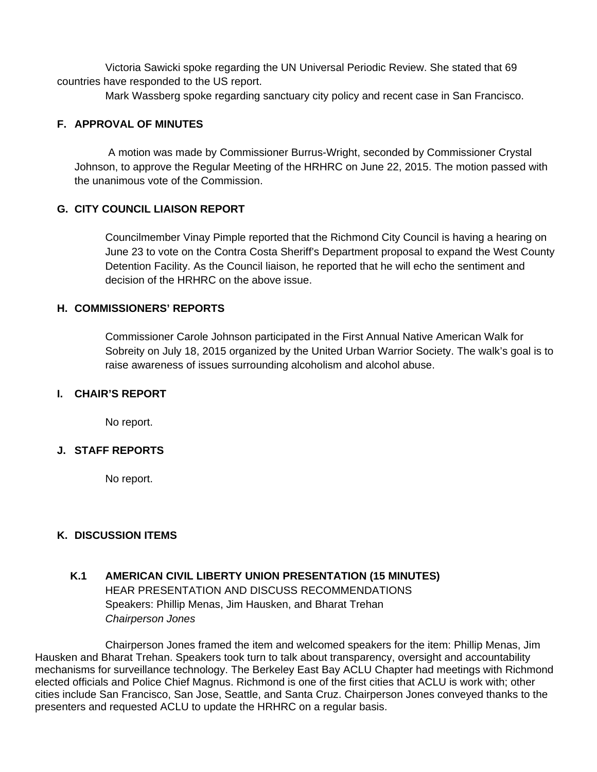Victoria Sawicki spoke regarding the UN Universal Periodic Review. She stated that 69 countries have responded to the US report.

Mark Wassberg spoke regarding sanctuary city policy and recent case in San Francisco.

## **F. APPROVAL OF MINUTES**

A motion was made by Commissioner Burrus-Wright, seconded by Commissioner Crystal Johnson, to approve the Regular Meeting of the HRHRC on June 22, 2015. The motion passed with the unanimous vote of the Commission.

## **G. CITY COUNCIL LIAISON REPORT**

Councilmember Vinay Pimple reported that the Richmond City Council is having a hearing on June 23 to vote on the Contra Costa Sheriff's Department proposal to expand the West County Detention Facility. As the Council liaison, he reported that he will echo the sentiment and decision of the HRHRC on the above issue.

### **H. COMMISSIONERS' REPORTS**

Commissioner Carole Johnson participated in the First Annual Native American Walk for Sobreity on July 18, 2015 organized by the United Urban Warrior Society. The walk's goal is to raise awareness of issues surrounding alcoholism and alcohol abuse.

## **I. CHAIR'S REPORT**

No report.

### **J. STAFF REPORTS**

No report.

# **K. DISCUSSION ITEMS**

# **K.1 AMERICAN CIVIL LIBERTY UNION PRESENTATION (15 MINUTES)** HEAR PRESENTATION AND DISCUSS RECOMMENDATIONS Speakers: Phillip Menas, Jim Hausken, and Bharat Trehan *Chairperson Jones*

Chairperson Jones framed the item and welcomed speakers for the item: Phillip Menas, Jim Hausken and Bharat Trehan. Speakers took turn to talk about transparency, oversight and accountability mechanisms for surveillance technology. The Berkeley East Bay ACLU Chapter had meetings with Richmond elected officials and Police Chief Magnus. Richmond is one of the first cities that ACLU is work with; other cities include San Francisco, San Jose, Seattle, and Santa Cruz. Chairperson Jones conveyed thanks to the presenters and requested ACLU to update the HRHRC on a regular basis.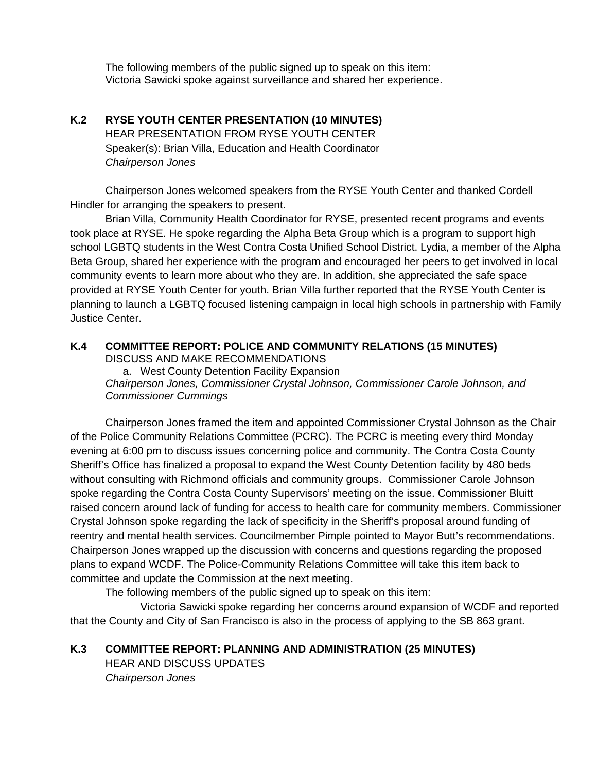The following members of the public signed up to speak on this item: Victoria Sawicki spoke against surveillance and shared her experience.

# **K.2 RYSE YOUTH CENTER PRESENTATION (10 MINUTES)**  HEAR PRESENTATION FROM RYSE YOUTH CENTER Speaker(s): Brian Villa, Education and Health Coordinator *Chairperson Jones*

Chairperson Jones welcomed speakers from the RYSE Youth Center and thanked Cordell Hindler for arranging the speakers to present.

Brian Villa, Community Health Coordinator for RYSE, presented recent programs and events took place at RYSE. He spoke regarding the Alpha Beta Group which is a program to support high school LGBTQ students in the West Contra Costa Unified School District. Lydia, a member of the Alpha Beta Group, shared her experience with the program and encouraged her peers to get involved in local community events to learn more about who they are. In addition, she appreciated the safe space provided at RYSE Youth Center for youth. Brian Villa further reported that the RYSE Youth Center is planning to launch a LGBTQ focused listening campaign in local high schools in partnership with Family Justice Center.

#### **K.4 COMMITTEE REPORT: POLICE AND COMMUNITY RELATIONS (15 MINUTES)** DISCUSS AND MAKE RECOMMENDATIONS

a. West County Detention Facility Expansion *Chairperson Jones, Commissioner Crystal Johnson, Commissioner Carole Johnson, and Commissioner Cummings* 

Chairperson Jones framed the item and appointed Commissioner Crystal Johnson as the Chair of the Police Community Relations Committee (PCRC). The PCRC is meeting every third Monday evening at 6:00 pm to discuss issues concerning police and community. The Contra Costa County Sheriff's Office has finalized a proposal to expand the West County Detention facility by 480 beds without consulting with Richmond officials and community groups. Commissioner Carole Johnson spoke regarding the Contra Costa County Supervisors' meeting on the issue. Commissioner Bluitt raised concern around lack of funding for access to health care for community members. Commissioner Crystal Johnson spoke regarding the lack of specificity in the Sheriff's proposal around funding of reentry and mental health services. Councilmember Pimple pointed to Mayor Butt's recommendations. Chairperson Jones wrapped up the discussion with concerns and questions regarding the proposed plans to expand WCDF. The Police-Community Relations Committee will take this item back to committee and update the Commission at the next meeting.

The following members of the public signed up to speak on this item:

 Victoria Sawicki spoke regarding her concerns around expansion of WCDF and reported that the County and City of San Francisco is also in the process of applying to the SB 863 grant.

**K.3 COMMITTEE REPORT: PLANNING AND ADMINISTRATION (25 MINUTES)** HEAR AND DISCUSS UPDATES *Chairperson Jones*